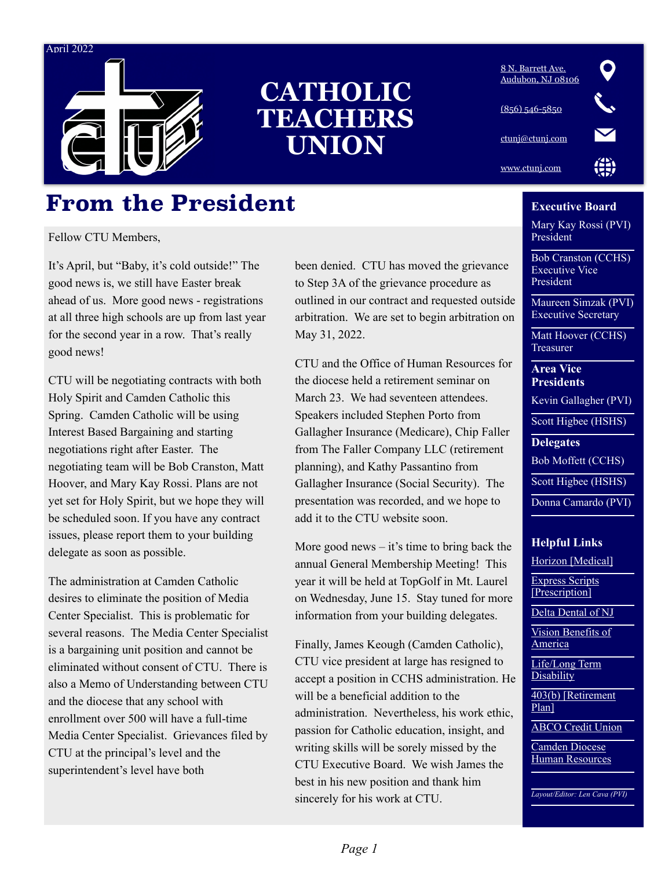#### April 2022



# **CATHOLIC TEACHERS UNION**

### $\mathbf Q$ [8 N. Barrett Ave.](https://maps.apple.com/?address=8%20N%20Barrett%20Ave,%20Audubon,%20NJ%20%2008106,%20United%20States&ll=39.899831,-75.067021&q=8%20N%20Barrett%20Ave&_ext=EiYpAM5Bd5ryQ0Axfavq/6nEUsA5fqNn08DzQ0BBQ2aoJurDUsBQAw==&t=m)  [Audubon, NJ 08106](https://maps.apple.com/?address=8%20N%20Barrett%20Ave,%20Audubon,%20NJ%20%2008106,%20United%20States&ll=39.899831,-75.067021&q=8%20N%20Barrett%20Ave&_ext=EiYpAM5Bd5ryQ0Axfavq/6nEUsA5fqNn08DzQ0BBQ2aoJurDUsBQAw==&t=m) [\(856\) 546-5850](tel:(856)%20546-5850) [ctunj@ctunj.com](mailto:ctunj@ctunj.com) [www.ctunj.com](http://www.ctunj.com)

### **From the President**

Fellow CTU Members,

It's April, but "Baby, it's cold outside!" The good news is, we still have Easter break ahead of us. More good news - registrations at all three high schools are up from last year for the second year in a row. That's really good news!

CTU will be negotiating contracts with both Holy Spirit and Camden Catholic this Spring. Camden Catholic will be using Interest Based Bargaining and starting negotiations right after Easter. The negotiating team will be Bob Cranston, Matt Hoover, and Mary Kay Rossi. Plans are not yet set for Holy Spirit, but we hope they will be scheduled soon. If you have any contract issues, please report them to your building delegate as soon as possible.

The administration at Camden Catholic desires to eliminate the position of Media Center Specialist. This is problematic for several reasons. The Media Center Specialist is a bargaining unit position and cannot be eliminated without consent of CTU. There is also a Memo of Understanding between CTU and the diocese that any school with enrollment over 500 will have a full-time Media Center Specialist. Grievances filed by CTU at the principal's level and the superintendent's level have both

been denied. CTU has moved the grievance to Step 3A of the grievance procedure as outlined in our contract and requested outside arbitration. We are set to begin arbitration on May 31, 2022.

CTU and the Office of Human Resources for the diocese held a retirement seminar on March 23. We had seventeen attendees. Speakers included Stephen Porto from Gallagher Insurance (Medicare), Chip Faller from The Faller Company LLC (retirement planning), and Kathy Passantino from Gallagher Insurance (Social Security). The presentation was recorded, and we hope to add it to the CTU website soon.

More good news – it's time to bring back the annual General Membership Meeting! This year it will be held at TopGolf in Mt. Laurel on Wednesday, June 15. Stay tuned for more information from your building delegates.

Finally, James Keough (Camden Catholic), CTU vice president at large has resigned to accept a position in CCHS administration. He will be a beneficial addition to the administration. Nevertheless, his work ethic, passion for Catholic education, insight, and writing skills will be sorely missed by the CTU Executive Board. We wish James the best in his new position and thank him sincerely for his work at CTU.

#### **Executive Board**

Mary Kay Rossi (PVI) President

Bob Cranston (CCHS) Executive Vice President

Maureen Simzak (PVI) Executive Secretary

Matt Hoover (CCHS) Treasurer

**Area Vice Presidents**

Kevin Gallagher (PVI)

Scott Higbee (HSHS)

**Delegates**

Bob Moffett (CCHS)

Scott Higbee (HSHS)

Donna Camardo (PVI)

#### **Helpful Links**

[Horizon \[Medical\]](http://www.horizonblue.com)

[Express Scripts](http://www.Express-scripts.com)  [\[Prescription\]](http://www.Express-scripts.com)

[Delta Dental of NJ](http://www.Deltadentalnj.com)

[Vision Benefits of](http://www.VBAplans.com)  **[America](http://www.VBAplans.com)** 

[Life/Long Term](http://www.Unum.com)  **[Disability](http://www.Unum.com)** 

[403\(b\) \[Retirement](http://www.gwrs.com/)  [Plan\]](http://www.gwrs.com/)

[ABCO Credit Union](http://www.goabco.org/)

[Camden Diocese](mailto:cnewhouse@camdendiocese.org)  [Human Resources](mailto:cnewhouse@camdendiocese.org)

*Layout/Editor: Len Cava (PVI)*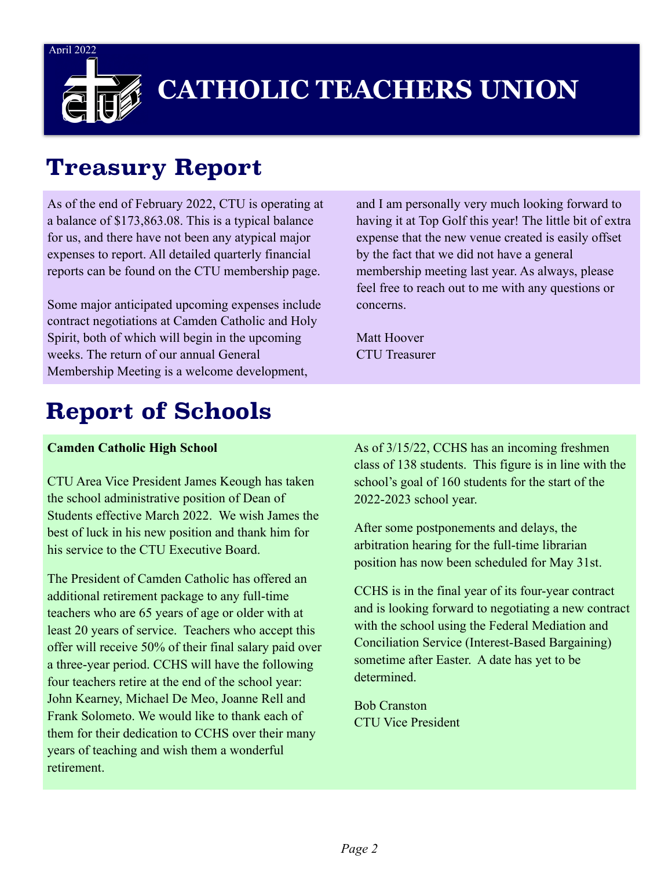April 2022



# **CATHOLIC TEACHERS UNION**

## **Treasury Report**

As of the end of February 2022, CTU is operating at a balance of \$173,863.08. This is a typical balance for us, and there have not been any atypical major expenses to report. All detailed quarterly financial reports can be found on the CTU membership page.

Some major anticipated upcoming expenses include contract negotiations at Camden Catholic and Holy Spirit, both of which will begin in the upcoming weeks. The return of our annual General Membership Meeting is a welcome development,

and I am personally very much looking forward to having it at Top Golf this year! The little bit of extra expense that the new venue created is easily offset by the fact that we did not have a general membership meeting last year. As always, please feel free to reach out to me with any questions or concerns.

Matt Hoover CTU Treasurer

# **Report of Schools**

#### **Camden Catholic High School**

CTU Area Vice President James Keough has taken the school administrative position of Dean of Students effective March 2022. We wish James the best of luck in his new position and thank him for his service to the CTU Executive Board.

The President of Camden Catholic has offered an additional retirement package to any full-time teachers who are 65 years of age or older with at least 20 years of service. Teachers who accept this offer will receive 50% of their final salary paid over a three-year period. CCHS will have the following four teachers retire at the end of the school year: John Kearney, Michael De Meo, Joanne Rell and Frank Solometo. We would like to thank each of them for their dedication to CCHS over their many years of teaching and wish them a wonderful retirement.

As of 3/15/22, CCHS has an incoming freshmen class of 138 students. This figure is in line with the school's goal of 160 students for the start of the 2022-2023 school year.

After some postponements and delays, the arbitration hearing for the full-time librarian position has now been scheduled for May 31st.

CCHS is in the final year of its four-year contract and is looking forward to negotiating a new contract with the school using the Federal Mediation and Conciliation Service (Interest-Based Bargaining) sometime after Easter. A date has yet to be determined.

Bob Cranston CTU Vice President